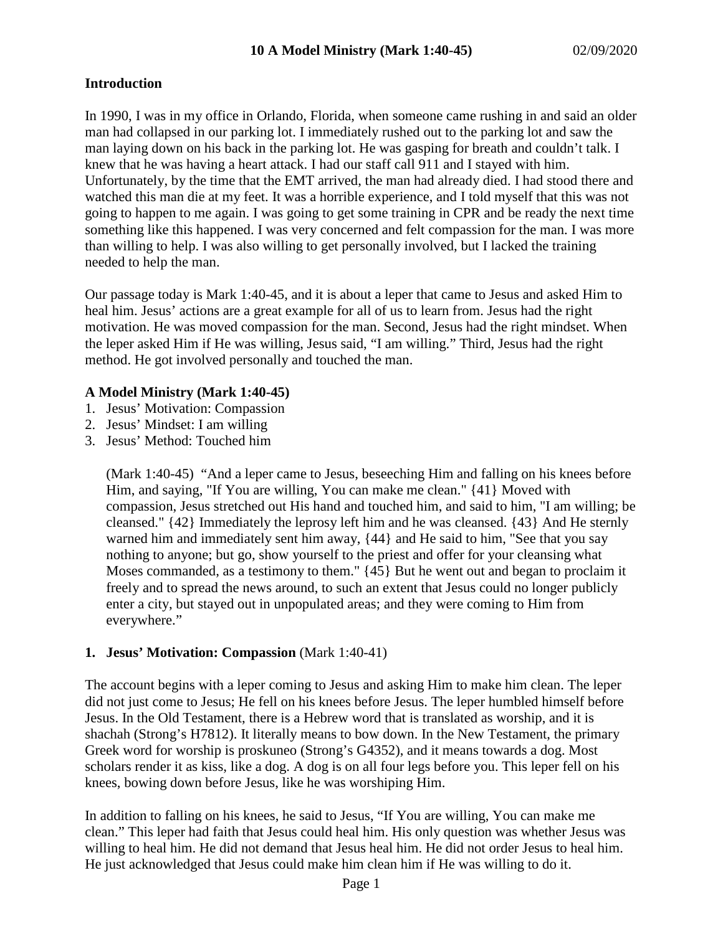# **Introduction**

In 1990, I was in my office in Orlando, Florida, when someone came rushing in and said an older man had collapsed in our parking lot. I immediately rushed out to the parking lot and saw the man laying down on his back in the parking lot. He was gasping for breath and couldn't talk. I knew that he was having a heart attack. I had our staff call 911 and I stayed with him. Unfortunately, by the time that the EMT arrived, the man had already died. I had stood there and watched this man die at my feet. It was a horrible experience, and I told myself that this was not going to happen to me again. I was going to get some training in CPR and be ready the next time something like this happened. I was very concerned and felt compassion for the man. I was more than willing to help. I was also willing to get personally involved, but I lacked the training needed to help the man.

Our passage today is Mark 1:40-45, and it is about a leper that came to Jesus and asked Him to heal him. Jesus' actions are a great example for all of us to learn from. Jesus had the right motivation. He was moved compassion for the man. Second, Jesus had the right mindset. When the leper asked Him if He was willing, Jesus said, "I am willing." Third, Jesus had the right method. He got involved personally and touched the man.

# **A Model Ministry (Mark 1:40-45)**

- 1. Jesus' Motivation: Compassion
- 2. Jesus' Mindset: I am willing
- 3. Jesus' Method: Touched him

(Mark 1:40-45) "And a leper came to Jesus, beseeching Him and falling on his knees before Him, and saying, "If You are willing, You can make me clean." {41} Moved with compassion, Jesus stretched out His hand and touched him, and said to him, "I am willing; be cleansed." {42} Immediately the leprosy left him and he was cleansed. {43} And He sternly warned him and immediately sent him away, {44} and He said to him, "See that you say nothing to anyone; but go, show yourself to the priest and offer for your cleansing what Moses commanded, as a testimony to them." {45} But he went out and began to proclaim it freely and to spread the news around, to such an extent that Jesus could no longer publicly enter a city, but stayed out in unpopulated areas; and they were coming to Him from everywhere."

# **1. Jesus' Motivation: Compassion** (Mark 1:40-41)

The account begins with a leper coming to Jesus and asking Him to make him clean. The leper did not just come to Jesus; He fell on his knees before Jesus. The leper humbled himself before Jesus. In the Old Testament, there is a Hebrew word that is translated as worship, and it is shachah (Strong's H7812). It literally means to bow down. In the New Testament, the primary Greek word for worship is proskuneo (Strong's G4352), and it means towards a dog. Most scholars render it as kiss, like a dog. A dog is on all four legs before you. This leper fell on his knees, bowing down before Jesus, like he was worshiping Him.

In addition to falling on his knees, he said to Jesus, "If You are willing, You can make me clean." This leper had faith that Jesus could heal him. His only question was whether Jesus was willing to heal him. He did not demand that Jesus heal him. He did not order Jesus to heal him. He just acknowledged that Jesus could make him clean him if He was willing to do it.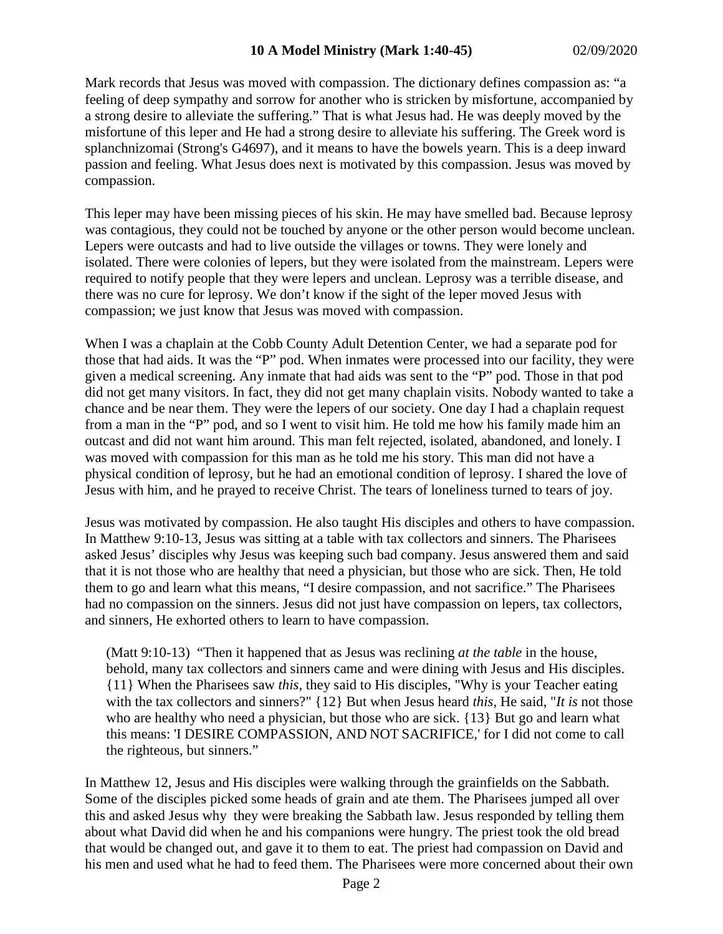Mark records that Jesus was moved with compassion. The dictionary defines compassion as: "a feeling of deep sympathy and sorrow for another who is stricken by misfortune, accompanied by a strong desire to alleviate the suffering." That is what Jesus had. He was deeply moved by the misfortune of this leper and He had a strong desire to alleviate his suffering. The Greek word is splanchnizomai (Strong's G4697), and it means to have the bowels yearn. This is a deep inward passion and feeling. What Jesus does next is motivated by this compassion. Jesus was moved by compassion.

This leper may have been missing pieces of his skin. He may have smelled bad. Because leprosy was contagious, they could not be touched by anyone or the other person would become unclean. Lepers were outcasts and had to live outside the villages or towns. They were lonely and isolated. There were colonies of lepers, but they were isolated from the mainstream. Lepers were required to notify people that they were lepers and unclean. Leprosy was a terrible disease, and there was no cure for leprosy. We don't know if the sight of the leper moved Jesus with compassion; we just know that Jesus was moved with compassion.

When I was a chaplain at the Cobb County Adult Detention Center, we had a separate pod for those that had aids. It was the "P" pod. When inmates were processed into our facility, they were given a medical screening. Any inmate that had aids was sent to the "P" pod. Those in that pod did not get many visitors. In fact, they did not get many chaplain visits. Nobody wanted to take a chance and be near them. They were the lepers of our society. One day I had a chaplain request from a man in the "P" pod, and so I went to visit him. He told me how his family made him an outcast and did not want him around. This man felt rejected, isolated, abandoned, and lonely. I was moved with compassion for this man as he told me his story. This man did not have a physical condition of leprosy, but he had an emotional condition of leprosy. I shared the love of Jesus with him, and he prayed to receive Christ. The tears of loneliness turned to tears of joy.

Jesus was motivated by compassion. He also taught His disciples and others to have compassion. In Matthew 9:10-13, Jesus was sitting at a table with tax collectors and sinners. The Pharisees asked Jesus' disciples why Jesus was keeping such bad company. Jesus answered them and said that it is not those who are healthy that need a physician, but those who are sick. Then, He told them to go and learn what this means, "I desire compassion, and not sacrifice." The Pharisees had no compassion on the sinners. Jesus did not just have compassion on lepers, tax collectors, and sinners, He exhorted others to learn to have compassion.

(Matt 9:10-13) "Then it happened that as Jesus was reclining *at the table* in the house, behold, many tax collectors and sinners came and were dining with Jesus and His disciples. {11} When the Pharisees saw *this,* they said to His disciples, "Why is your Teacher eating with the tax collectors and sinners?" {12} But when Jesus heard *this,* He said, "*It is* not those who are healthy who need a physician, but those who are sick. {13} But go and learn what this means: 'I DESIRE COMPASSION, AND NOT SACRIFICE,' for I did not come to call the righteous, but sinners."

In Matthew 12, Jesus and His disciples were walking through the grainfields on the Sabbath. Some of the disciples picked some heads of grain and ate them. The Pharisees jumped all over this and asked Jesus why they were breaking the Sabbath law. Jesus responded by telling them about what David did when he and his companions were hungry. The priest took the old bread that would be changed out, and gave it to them to eat. The priest had compassion on David and his men and used what he had to feed them. The Pharisees were more concerned about their own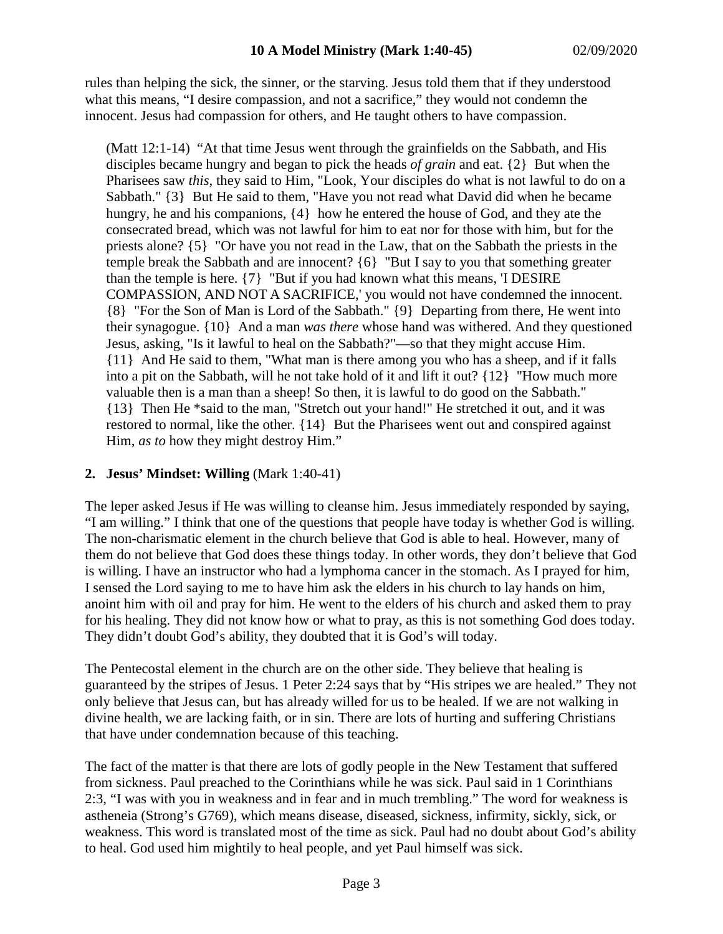rules than helping the sick, the sinner, or the starving. Jesus told them that if they understood what this means, "I desire compassion, and not a sacrifice," they would not condemn the innocent. Jesus had compassion for others, and He taught others to have compassion.

(Matt 12:1-14) "At that time Jesus went through the grainfields on the Sabbath, and His disciples became hungry and began to pick the heads *of grain* and eat. {2} But when the Pharisees saw *this,* they said to Him, "Look, Your disciples do what is not lawful to do on a Sabbath." {3} But He said to them, "Have you not read what David did when he became hungry, he and his companions,  $\{4\}$  how he entered the house of God, and they ate the consecrated bread, which was not lawful for him to eat nor for those with him, but for the priests alone? {5} "Or have you not read in the Law, that on the Sabbath the priests in the temple break the Sabbath and are innocent? {6} "But I say to you that something greater than the temple is here. {7} "But if you had known what this means, 'I DESIRE COMPASSION, AND NOT A SACRIFICE,' you would not have condemned the innocent. {8} "For the Son of Man is Lord of the Sabbath." {9} Departing from there, He went into their synagogue. {10} And a man *was there* whose hand was withered. And they questioned Jesus, asking, "Is it lawful to heal on the Sabbath?"—so that they might accuse Him. {11} And He said to them, "What man is there among you who has a sheep, and if it falls into a pit on the Sabbath, will he not take hold of it and lift it out? {12} "How much more valuable then is a man than a sheep! So then, it is lawful to do good on the Sabbath." {13} Then He \*said to the man, "Stretch out your hand!" He stretched it out, and it was restored to normal, like the other. {14} But the Pharisees went out and conspired against Him, *as to* how they might destroy Him."

# **2. Jesus' Mindset: Willing** (Mark 1:40-41)

The leper asked Jesus if He was willing to cleanse him. Jesus immediately responded by saying, "I am willing." I think that one of the questions that people have today is whether God is willing. The non-charismatic element in the church believe that God is able to heal. However, many of them do not believe that God does these things today. In other words, they don't believe that God is willing. I have an instructor who had a lymphoma cancer in the stomach. As I prayed for him, I sensed the Lord saying to me to have him ask the elders in his church to lay hands on him, anoint him with oil and pray for him. He went to the elders of his church and asked them to pray for his healing. They did not know how or what to pray, as this is not something God does today. They didn't doubt God's ability, they doubted that it is God's will today.

The Pentecostal element in the church are on the other side. They believe that healing is guaranteed by the stripes of Jesus. 1 Peter 2:24 says that by "His stripes we are healed." They not only believe that Jesus can, but has already willed for us to be healed. If we are not walking in divine health, we are lacking faith, or in sin. There are lots of hurting and suffering Christians that have under condemnation because of this teaching.

The fact of the matter is that there are lots of godly people in the New Testament that suffered from sickness. Paul preached to the Corinthians while he was sick. Paul said in 1 Corinthians 2:3, "I was with you in weakness and in fear and in much trembling." The word for weakness is astheneia (Strong's G769), which means disease, diseased, sickness, infirmity, sickly, sick, or weakness. This word is translated most of the time as sick. Paul had no doubt about God's ability to heal. God used him mightily to heal people, and yet Paul himself was sick.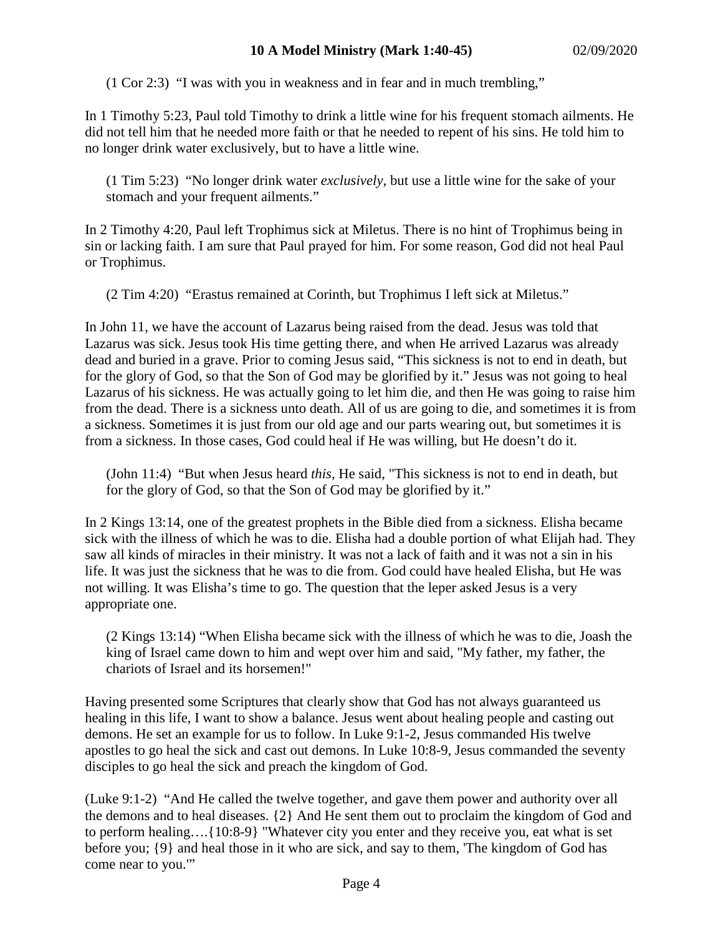(1 Cor 2:3) "I was with you in weakness and in fear and in much trembling,"

In 1 Timothy 5:23, Paul told Timothy to drink a little wine for his frequent stomach ailments. He did not tell him that he needed more faith or that he needed to repent of his sins. He told him to no longer drink water exclusively, but to have a little wine.

(1 Tim 5:23) "No longer drink water *exclusively,* but use a little wine for the sake of your stomach and your frequent ailments."

In 2 Timothy 4:20, Paul left Trophimus sick at Miletus. There is no hint of Trophimus being in sin or lacking faith. I am sure that Paul prayed for him. For some reason, God did not heal Paul or Trophimus.

(2 Tim 4:20) "Erastus remained at Corinth, but Trophimus I left sick at Miletus."

In John 11, we have the account of Lazarus being raised from the dead. Jesus was told that Lazarus was sick. Jesus took His time getting there, and when He arrived Lazarus was already dead and buried in a grave. Prior to coming Jesus said, "This sickness is not to end in death, but for the glory of God, so that the Son of God may be glorified by it." Jesus was not going to heal Lazarus of his sickness. He was actually going to let him die, and then He was going to raise him from the dead. There is a sickness unto death. All of us are going to die, and sometimes it is from a sickness. Sometimes it is just from our old age and our parts wearing out, but sometimes it is from a sickness. In those cases, God could heal if He was willing, but He doesn't do it.

(John 11:4) "But when Jesus heard *this,* He said, "This sickness is not to end in death, but for the glory of God, so that the Son of God may be glorified by it."

In 2 Kings 13:14, one of the greatest prophets in the Bible died from a sickness. Elisha became sick with the illness of which he was to die. Elisha had a double portion of what Elijah had. They saw all kinds of miracles in their ministry. It was not a lack of faith and it was not a sin in his life. It was just the sickness that he was to die from. God could have healed Elisha, but He was not willing. It was Elisha's time to go. The question that the leper asked Jesus is a very appropriate one.

(2 Kings 13:14) "When Elisha became sick with the illness of which he was to die, Joash the king of Israel came down to him and wept over him and said, "My father, my father, the chariots of Israel and its horsemen!"

Having presented some Scriptures that clearly show that God has not always guaranteed us healing in this life, I want to show a balance. Jesus went about healing people and casting out demons. He set an example for us to follow. In Luke 9:1-2, Jesus commanded His twelve apostles to go heal the sick and cast out demons. In Luke 10:8-9, Jesus commanded the seventy disciples to go heal the sick and preach the kingdom of God.

(Luke 9:1-2) "And He called the twelve together, and gave them power and authority over all the demons and to heal diseases. {2} And He sent them out to proclaim the kingdom of God and to perform healing….{10:8-9} "Whatever city you enter and they receive you, eat what is set before you; {9} and heal those in it who are sick, and say to them, 'The kingdom of God has come near to you.'"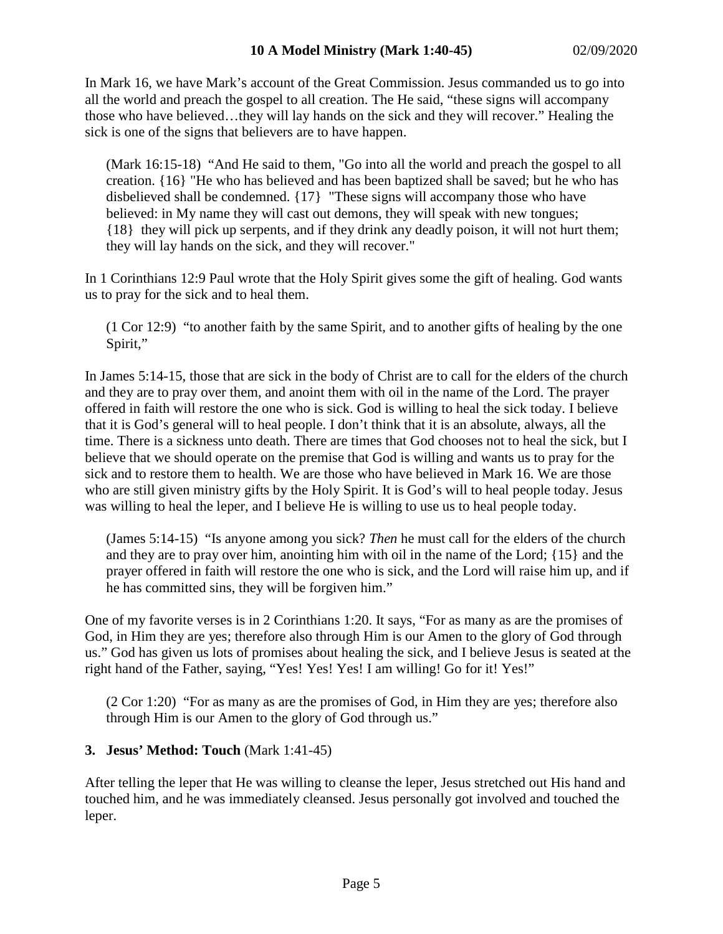In Mark 16, we have Mark's account of the Great Commission. Jesus commanded us to go into all the world and preach the gospel to all creation. The He said, "these signs will accompany those who have believed…they will lay hands on the sick and they will recover." Healing the sick is one of the signs that believers are to have happen.

(Mark 16:15-18) "And He said to them, "Go into all the world and preach the gospel to all creation. {16} "He who has believed and has been baptized shall be saved; but he who has disbelieved shall be condemned. {17} "These signs will accompany those who have believed: in My name they will cast out demons, they will speak with new tongues; {18} they will pick up serpents, and if they drink any deadly poison, it will not hurt them; they will lay hands on the sick, and they will recover."

In 1 Corinthians 12:9 Paul wrote that the Holy Spirit gives some the gift of healing. God wants us to pray for the sick and to heal them.

(1 Cor 12:9) "to another faith by the same Spirit, and to another gifts of healing by the one Spirit,"

In James 5:14-15, those that are sick in the body of Christ are to call for the elders of the church and they are to pray over them, and anoint them with oil in the name of the Lord. The prayer offered in faith will restore the one who is sick. God is willing to heal the sick today. I believe that it is God's general will to heal people. I don't think that it is an absolute, always, all the time. There is a sickness unto death. There are times that God chooses not to heal the sick, but I believe that we should operate on the premise that God is willing and wants us to pray for the sick and to restore them to health. We are those who have believed in Mark 16. We are those who are still given ministry gifts by the Holy Spirit. It is God's will to heal people today. Jesus was willing to heal the leper, and I believe He is willing to use us to heal people today.

(James 5:14-15) "Is anyone among you sick? *Then* he must call for the elders of the church and they are to pray over him, anointing him with oil in the name of the Lord; {15} and the prayer offered in faith will restore the one who is sick, and the Lord will raise him up, and if he has committed sins, they will be forgiven him."

One of my favorite verses is in 2 Corinthians 1:20. It says, "For as many as are the promises of God, in Him they are yes; therefore also through Him is our Amen to the glory of God through us." God has given us lots of promises about healing the sick, and I believe Jesus is seated at the right hand of the Father, saying, "Yes! Yes! Yes! I am willing! Go for it! Yes!"

(2 Cor 1:20) "For as many as are the promises of God, in Him they are yes; therefore also through Him is our Amen to the glory of God through us."

# **3. Jesus' Method: Touch** (Mark 1:41-45)

After telling the leper that He was willing to cleanse the leper, Jesus stretched out His hand and touched him, and he was immediately cleansed. Jesus personally got involved and touched the leper.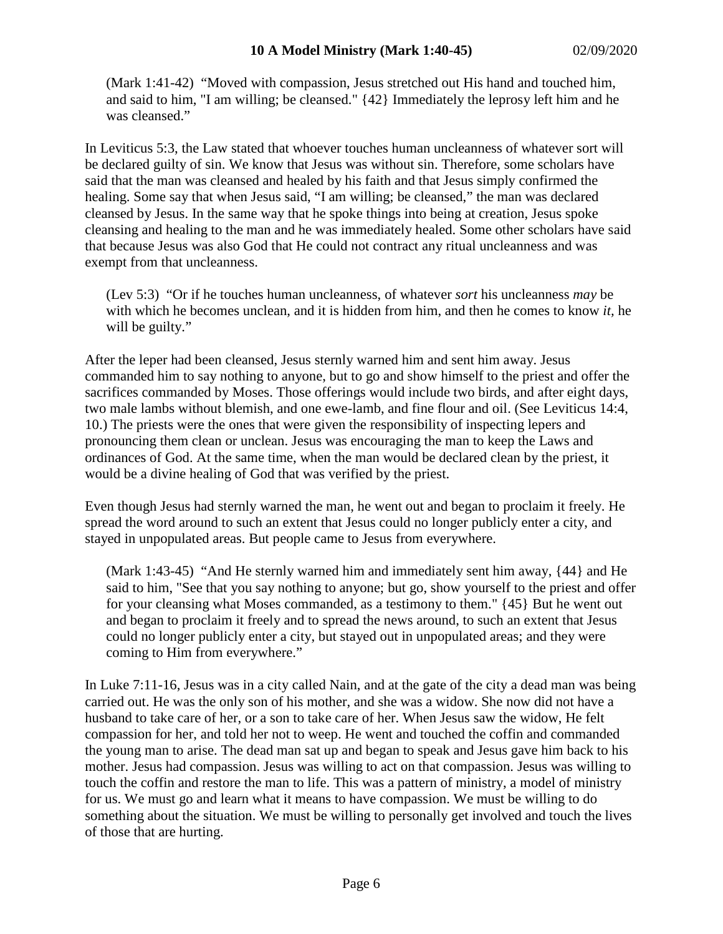(Mark 1:41-42) "Moved with compassion, Jesus stretched out His hand and touched him, and said to him, "I am willing; be cleansed." {42} Immediately the leprosy left him and he was cleansed."

In Leviticus 5:3, the Law stated that whoever touches human uncleanness of whatever sort will be declared guilty of sin. We know that Jesus was without sin. Therefore, some scholars have said that the man was cleansed and healed by his faith and that Jesus simply confirmed the healing. Some say that when Jesus said, "I am willing; be cleansed," the man was declared cleansed by Jesus. In the same way that he spoke things into being at creation, Jesus spoke cleansing and healing to the man and he was immediately healed. Some other scholars have said that because Jesus was also God that He could not contract any ritual uncleanness and was exempt from that uncleanness.

(Lev 5:3) "Or if he touches human uncleanness, of whatever *sort* his uncleanness *may* be with which he becomes unclean, and it is hidden from him, and then he comes to know *it,* he will be guilty."

After the leper had been cleansed, Jesus sternly warned him and sent him away. Jesus commanded him to say nothing to anyone, but to go and show himself to the priest and offer the sacrifices commanded by Moses. Those offerings would include two birds, and after eight days, two male lambs without blemish, and one ewe-lamb, and fine flour and oil. (See Leviticus 14:4, 10.) The priests were the ones that were given the responsibility of inspecting lepers and pronouncing them clean or unclean. Jesus was encouraging the man to keep the Laws and ordinances of God. At the same time, when the man would be declared clean by the priest, it would be a divine healing of God that was verified by the priest.

Even though Jesus had sternly warned the man, he went out and began to proclaim it freely. He spread the word around to such an extent that Jesus could no longer publicly enter a city, and stayed in unpopulated areas. But people came to Jesus from everywhere.

(Mark 1:43-45) "And He sternly warned him and immediately sent him away, {44} and He said to him, "See that you say nothing to anyone; but go, show yourself to the priest and offer for your cleansing what Moses commanded, as a testimony to them." {45} But he went out and began to proclaim it freely and to spread the news around, to such an extent that Jesus could no longer publicly enter a city, but stayed out in unpopulated areas; and they were coming to Him from everywhere."

In Luke 7:11-16, Jesus was in a city called Nain, and at the gate of the city a dead man was being carried out. He was the only son of his mother, and she was a widow. She now did not have a husband to take care of her, or a son to take care of her. When Jesus saw the widow, He felt compassion for her, and told her not to weep. He went and touched the coffin and commanded the young man to arise. The dead man sat up and began to speak and Jesus gave him back to his mother. Jesus had compassion. Jesus was willing to act on that compassion. Jesus was willing to touch the coffin and restore the man to life. This was a pattern of ministry, a model of ministry for us. We must go and learn what it means to have compassion. We must be willing to do something about the situation. We must be willing to personally get involved and touch the lives of those that are hurting.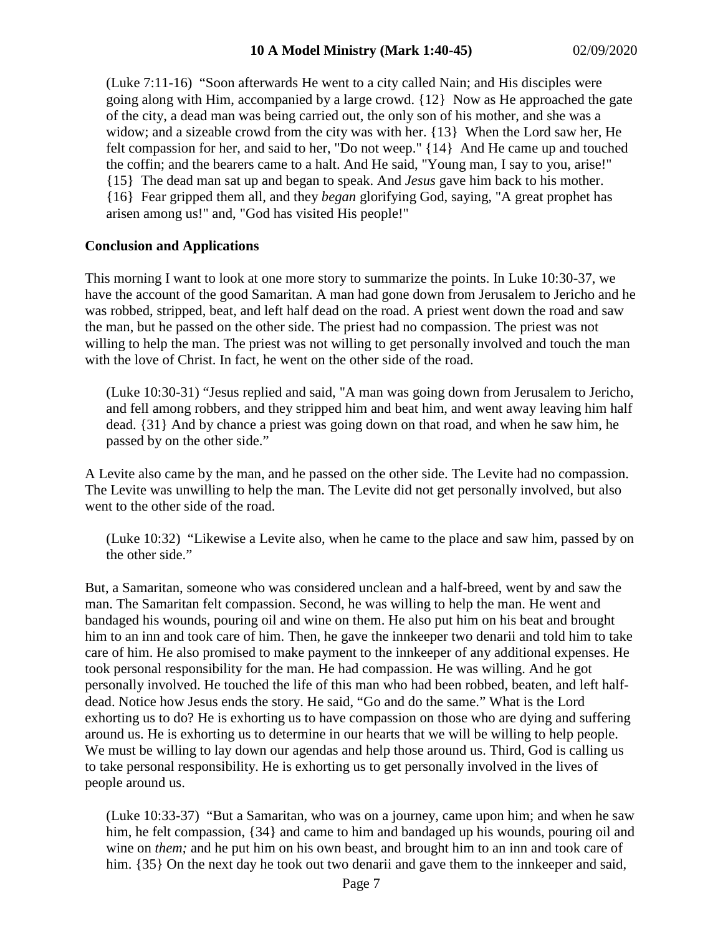(Luke 7:11-16) "Soon afterwards He went to a city called Nain; and His disciples were going along with Him, accompanied by a large crowd. {12} Now as He approached the gate of the city, a dead man was being carried out, the only son of his mother, and she was a widow; and a sizeable crowd from the city was with her. {13} When the Lord saw her, He felt compassion for her, and said to her, "Do not weep." {14} And He came up and touched the coffin; and the bearers came to a halt. And He said, "Young man, I say to you, arise!" {15} The dead man sat up and began to speak. And *Jesus* gave him back to his mother. {16} Fear gripped them all, and they *began* glorifying God, saying, "A great prophet has arisen among us!" and, "God has visited His people!"

### **Conclusion and Applications**

This morning I want to look at one more story to summarize the points. In Luke 10:30-37, we have the account of the good Samaritan. A man had gone down from Jerusalem to Jericho and he was robbed, stripped, beat, and left half dead on the road. A priest went down the road and saw the man, but he passed on the other side. The priest had no compassion. The priest was not willing to help the man. The priest was not willing to get personally involved and touch the man with the love of Christ. In fact, he went on the other side of the road.

(Luke 10:30-31) "Jesus replied and said, "A man was going down from Jerusalem to Jericho, and fell among robbers, and they stripped him and beat him, and went away leaving him half dead. {31} And by chance a priest was going down on that road, and when he saw him, he passed by on the other side."

A Levite also came by the man, and he passed on the other side. The Levite had no compassion. The Levite was unwilling to help the man. The Levite did not get personally involved, but also went to the other side of the road.

(Luke 10:32) "Likewise a Levite also, when he came to the place and saw him, passed by on the other side."

But, a Samaritan, someone who was considered unclean and a half-breed, went by and saw the man. The Samaritan felt compassion. Second, he was willing to help the man. He went and bandaged his wounds, pouring oil and wine on them. He also put him on his beat and brought him to an inn and took care of him. Then, he gave the innkeeper two denarii and told him to take care of him. He also promised to make payment to the innkeeper of any additional expenses. He took personal responsibility for the man. He had compassion. He was willing. And he got personally involved. He touched the life of this man who had been robbed, beaten, and left halfdead. Notice how Jesus ends the story. He said, "Go and do the same." What is the Lord exhorting us to do? He is exhorting us to have compassion on those who are dying and suffering around us. He is exhorting us to determine in our hearts that we will be willing to help people. We must be willing to lay down our agendas and help those around us. Third, God is calling us to take personal responsibility. He is exhorting us to get personally involved in the lives of people around us.

(Luke 10:33-37) "But a Samaritan, who was on a journey, came upon him; and when he saw him, he felt compassion,  $\{34\}$  and came to him and bandaged up his wounds, pouring oil and wine on *them;* and he put him on his own beast, and brought him to an inn and took care of him.  $\{35\}$  On the next day he took out two denarii and gave them to the innkeeper and said,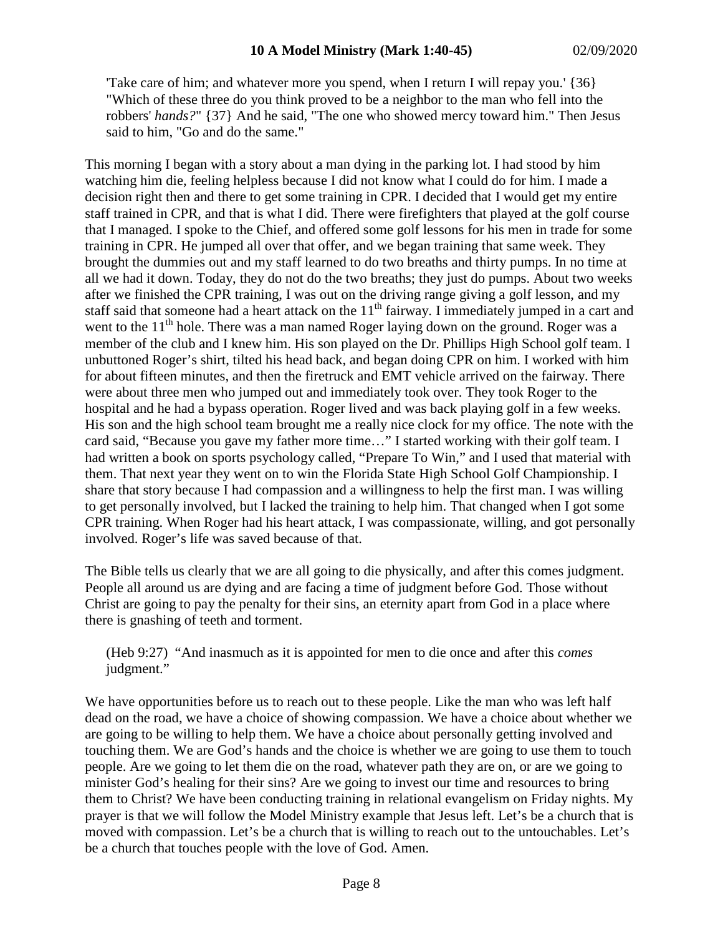'Take care of him; and whatever more you spend, when I return I will repay you.' {36} "Which of these three do you think proved to be a neighbor to the man who fell into the robbers' *hands?*" {37} And he said, "The one who showed mercy toward him." Then Jesus said to him, "Go and do the same."

This morning I began with a story about a man dying in the parking lot. I had stood by him watching him die, feeling helpless because I did not know what I could do for him. I made a decision right then and there to get some training in CPR. I decided that I would get my entire staff trained in CPR, and that is what I did. There were firefighters that played at the golf course that I managed. I spoke to the Chief, and offered some golf lessons for his men in trade for some training in CPR. He jumped all over that offer, and we began training that same week. They brought the dummies out and my staff learned to do two breaths and thirty pumps. In no time at all we had it down. Today, they do not do the two breaths; they just do pumps. About two weeks after we finished the CPR training, I was out on the driving range giving a golf lesson, and my staff said that someone had a heart attack on the  $11<sup>th</sup>$  fairway. I immediately jumped in a cart and went to the  $11<sup>th</sup>$  hole. There was a man named Roger laying down on the ground. Roger was a member of the club and I knew him. His son played on the Dr. Phillips High School golf team. I unbuttoned Roger's shirt, tilted his head back, and began doing CPR on him. I worked with him for about fifteen minutes, and then the firetruck and EMT vehicle arrived on the fairway. There were about three men who jumped out and immediately took over. They took Roger to the hospital and he had a bypass operation. Roger lived and was back playing golf in a few weeks. His son and the high school team brought me a really nice clock for my office. The note with the card said, "Because you gave my father more time…" I started working with their golf team. I had written a book on sports psychology called, "Prepare To Win," and I used that material with them. That next year they went on to win the Florida State High School Golf Championship. I share that story because I had compassion and a willingness to help the first man. I was willing to get personally involved, but I lacked the training to help him. That changed when I got some CPR training. When Roger had his heart attack, I was compassionate, willing, and got personally involved. Roger's life was saved because of that.

The Bible tells us clearly that we are all going to die physically, and after this comes judgment. People all around us are dying and are facing a time of judgment before God. Those without Christ are going to pay the penalty for their sins, an eternity apart from God in a place where there is gnashing of teeth and torment.

(Heb 9:27) "And inasmuch as it is appointed for men to die once and after this *comes* judgment."

We have opportunities before us to reach out to these people. Like the man who was left half dead on the road, we have a choice of showing compassion. We have a choice about whether we are going to be willing to help them. We have a choice about personally getting involved and touching them. We are God's hands and the choice is whether we are going to use them to touch people. Are we going to let them die on the road, whatever path they are on, or are we going to minister God's healing for their sins? Are we going to invest our time and resources to bring them to Christ? We have been conducting training in relational evangelism on Friday nights. My prayer is that we will follow the Model Ministry example that Jesus left. Let's be a church that is moved with compassion. Let's be a church that is willing to reach out to the untouchables. Let's be a church that touches people with the love of God. Amen.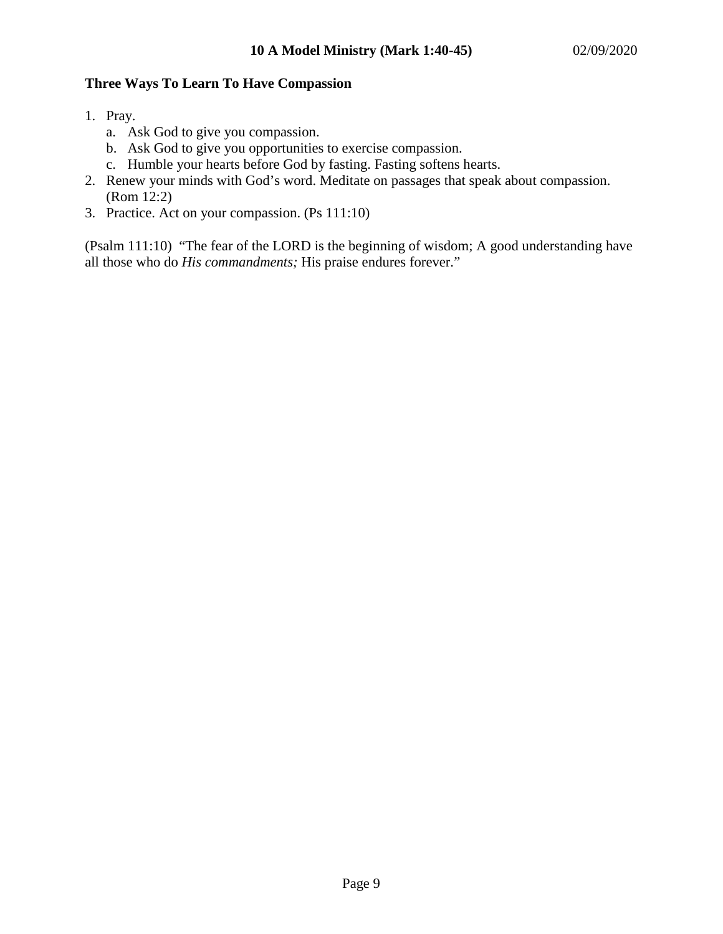### **Three Ways To Learn To Have Compassion**

- 1. Pray.
	- a. Ask God to give you compassion.
	- b. Ask God to give you opportunities to exercise compassion.
	- c. Humble your hearts before God by fasting. Fasting softens hearts.
- 2. Renew your minds with God's word. Meditate on passages that speak about compassion. (Rom 12:2)
- 3. Practice. Act on your compassion. (Ps 111:10)

(Psalm 111:10) "The fear of the LORD is the beginning of wisdom; A good understanding have all those who do *His commandments;* His praise endures forever."